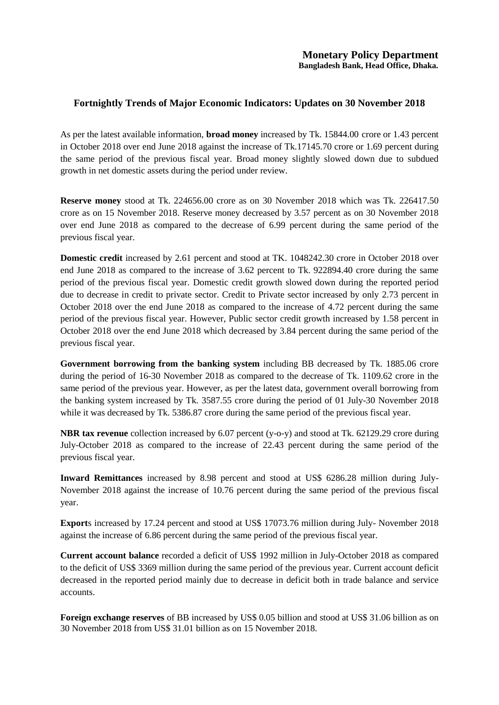## **Fortnightly Trends of Major Economic Indicators: Updates on 30 November 2018**

As per the latest available information, **broad money** increased by Tk. 15844.00 crore or 1.43 percent in October 2018 over end June 2018 against the increase of Tk.17145.70 crore or 1.69 percent during the same period of the previous fiscal year. Broad money slightly slowed down due to subdued growth in net domestic assets during the period under review.

**Reserve money** stood at Tk. 224656.00 crore as on 30 November 2018 which was Tk. 226417.50 crore as on 15 November 2018. Reserve money decreased by 3.57 percent as on 30 November 2018 over end June 2018 as compared to the decrease of 6.99 percent during the same period of the previous fiscal year.

**Domestic credit** increased by 2.61 percent and stood at TK. 1048242.30 crore in October 2018 over end June 2018 as compared to the increase of 3.62 percent to Tk. 922894.40 crore during the same period of the previous fiscal year. Domestic credit growth slowed down during the reported period due to decrease in credit to private sector. Credit to Private sector increased by only 2.73 percent in October 2018 over the end June 2018 as compared to the increase of 4.72 percent during the same period of the previous fiscal year. However, Public sector credit growth increased by 1.58 percent in October 2018 over the end June 2018 which decreased by 3.84 percent during the same period of the previous fiscal year.

**Government borrowing from the banking system** including BB decreased by Tk. 1885.06 crore during the period of 16-30 November 2018 as compared to the decrease of Tk. 1109.62 crore in the same period of the previous year. However, as per the latest data, government overall borrowing from the banking system increased by Tk. 3587.55 crore during the period of 01 July-30 November 2018 while it was decreased by Tk. 5386.87 crore during the same period of the previous fiscal year.

**NBR tax revenue** collection increased by 6.07 percent (y-o-y) and stood at Tk. 62129.29 crore during July-October 2018 as compared to the increase of 22.43 percent during the same period of the previous fiscal year.

**Inward Remittances** increased by 8.98 percent and stood at US\$ 6286.28 million during July-November 2018 against the increase of 10.76 percent during the same period of the previous fiscal year.

**Export**s increased by 17.24 percent and stood at US\$ 17073.76 million during July- November 2018 against the increase of 6.86 percent during the same period of the previous fiscal year.

**Current account balance** recorded a deficit of US\$ 1992 million in July-October 2018 as compared to the deficit of US\$ 3369 million during the same period of the previous year. Current account deficit decreased in the reported period mainly due to decrease in deficit both in trade balance and service accounts.

**Foreign exchange reserves** of BB increased by US\$ 0.05 billion and stood at US\$ 31.06 billion as on 30 November 2018 from US\$ 31.01 billion as on 15 November 2018.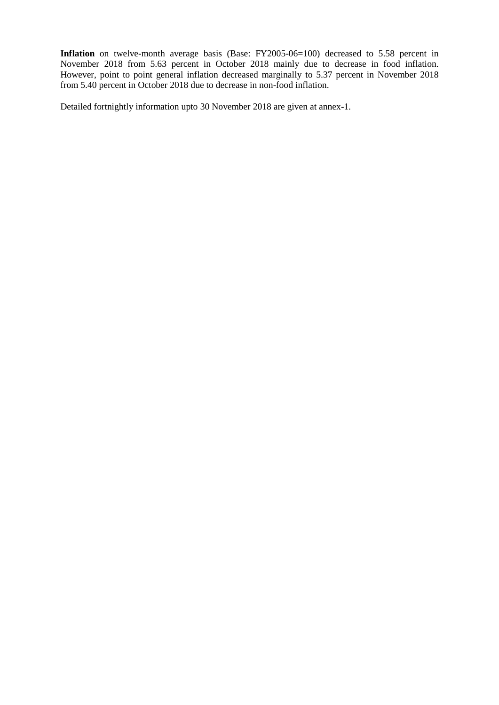**Inflation** on twelve-month average basis (Base: FY2005-06=100) decreased to 5.58 percent in November 2018 from 5.63 percent in October 2018 mainly due to decrease in food inflation. However, point to point general inflation decreased marginally to 5.37 percent in November 2018 from 5.40 percent in October 2018 due to decrease in non-food inflation.

Detailed fortnightly information upto 30 November 2018 are given at annex-1.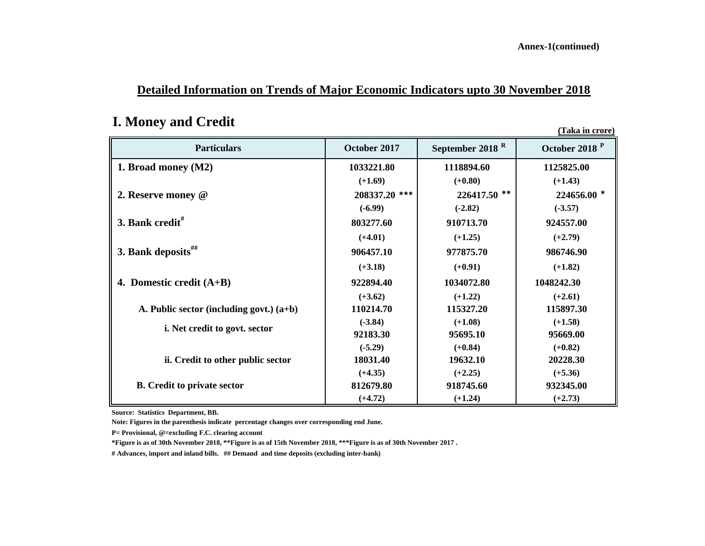**Annex-1(continued)**

## **Detailed Information on Trends of Major Economic Indicators upto 30 November 2018**

# **I. Money and Credit**

**(Taka in crore)**

| <b>Particulars</b>                         | October 2017  | September 2018 <sup>R</sup> | October 2018 <sup>P</sup> |
|--------------------------------------------|---------------|-----------------------------|---------------------------|
| 1. Broad money (M2)                        | 1033221.80    | 1118894.60                  | 1125825.00                |
|                                            | $(+1.69)$     | $(+0.80)$                   | $(+1.43)$                 |
| 2. Reserve money @                         | 208337.20 *** | 226417.50 **                | 224656.00 *               |
|                                            | $(-6.99)$     | $(-2.82)$                   | $(-3.57)$                 |
| 3. Bank credit <sup>#</sup>                | 803277.60     | 910713.70                   | 924557.00                 |
|                                            | $(+4.01)$     | $(+1.25)$                   | $(+2.79)$                 |
| 3. Bank deposits $\#$                      | 906457.10     | 977875.70                   | 986746.90                 |
|                                            | $(+3.18)$     | $(+0.91)$                   | $(+1.82)$                 |
| 4. Domestic credit $(A+B)$                 | 922894.40     | 1034072.80                  | 1048242.30                |
|                                            | $(+3.62)$     | $(+1.22)$                   | $(+2.61)$                 |
| A. Public sector (including govt.) $(a+b)$ | 110214.70     | 115327.20                   | 115897.30                 |
| <i>i.</i> Net credit to govt. sector       | $(-3.84)$     | $(+1.08)$                   | $(+1.58)$                 |
|                                            | 92183.30      | 95695.10                    | 95669.00                  |
|                                            | $(-5.29)$     | $(+0.84)$                   | $(+0.82)$                 |
| ii. Credit to other public sector          | 18031.40      | 19632.10                    | 20228.30                  |
|                                            | $(+4.35)$     | $(+2.25)$                   | $(+5.36)$                 |
| <b>B.</b> Credit to private sector         | 812679.80     | 918745.60                   | 932345.00                 |
|                                            | $(+4.72)$     | $(+1.24)$                   | $(+2.73)$                 |

**Source: Statistics Department, BB.**

**Note: Figures in the parenthesis indicate percentage changes over corresponding end June.** 

**P= Provisional, @=excluding F.C. clearing account**

**\*Figure is as of 30th November 2018, \*\*Figure is as of 15th November 2018, \*\*\*Figure is as of 30th November 2017 .**

**# Advances, import and inland bills. ## Demand and time deposits (excluding inter-bank)**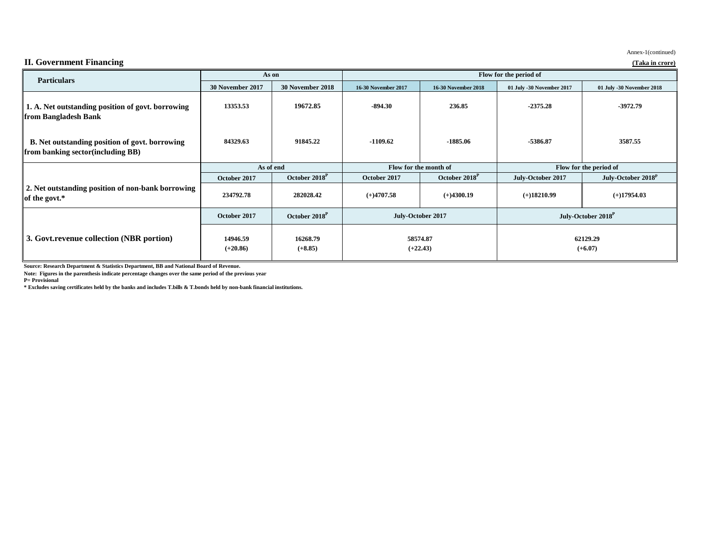| <b>Particulars</b>                                                                                | As on                  |                           | Flow for the period of                      |                            |                                |                                |
|---------------------------------------------------------------------------------------------------|------------------------|---------------------------|---------------------------------------------|----------------------------|--------------------------------|--------------------------------|
|                                                                                                   | 30 November 2017       | 30 November 2018          | <b>16-30 November 2017</b>                  | <b>16-30 November 2018</b> | 01 July -30 November 2017      | 01 July -30 November 2018      |
| 1. A. Net outstanding position of govt. borrowing<br>from Bangladesh Bank                         | 13353.53               | 19672.85                  | $-894.30$                                   | 236.85                     | $-2375.28$                     | $-3972.79$                     |
| <b>B.</b> Net outstanding position of govt. borrowing<br><b>from banking sector(including BB)</b> | 84329.63               | 91845.22                  | $-1109.62$                                  | $-1885.06$                 | $-5386.87$                     | 3587.55                        |
|                                                                                                   | As of end              |                           | Flow for the month of                       |                            | Flow for the period of         |                                |
|                                                                                                   | October 2017           | October 2018 <sup>P</sup> | October 2017                                | October 2018 <sup>P</sup>  | July-October 2017              | July-October 2018 <sup>p</sup> |
| 2. Net outstanding position of non-bank borrowing<br>of the govt.*                                | 234792.78              | 282028.42                 | $(+)4707.58$                                | $(+)4300.19$               | $(+)18210.99$                  | $(+)17954.03$                  |
|                                                                                                   | October 2017           | October 2018 <sup>P</sup> | July-October 2017<br>58574.87<br>$(+22.43)$ |                            | July-October 2018 <sup>P</sup> |                                |
| 3. Govt. revenue collection (NBR portion)                                                         | 14946.59<br>$(+20.86)$ | 16268.79<br>$(+8.85)$     |                                             |                            | 62129.29<br>$(+6.07)$          |                                |

**Source: Research Department & Statistics Department, BB and National Board of Revenue.**

**Note: Figures in the parenthesis indicate percentage changes over the same period of the previous year**

**P= Provisional**

**\* Excludes saving certificates held by the banks and includes T.bills & T.bonds held by non-bank financial institutions.**

## **II. Government Financing (Taka in crore)**

Annex-1(continued)